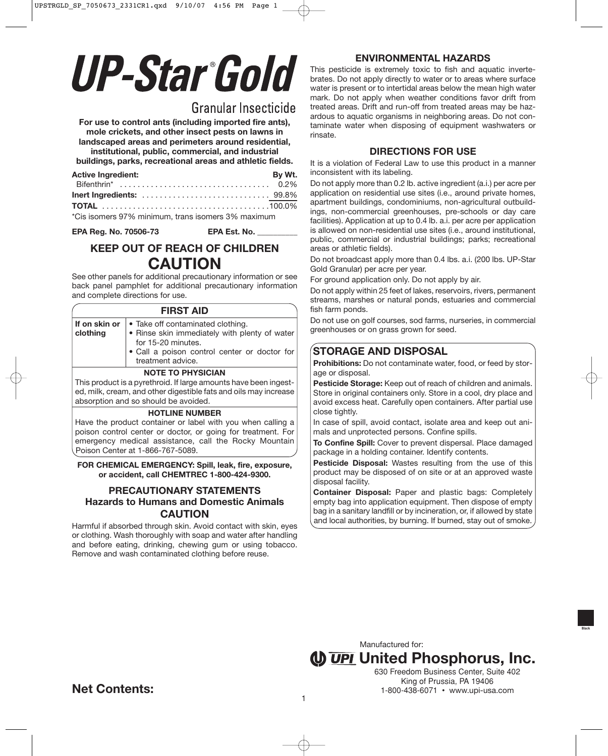# **UP-Star Gold**

# Granular Insecticide

**For use to control ants (including imported fire ants), mole crickets, and other insect pests on lawns in landscaped areas and perimeters around residential,**

**institutional, public, commercial, and industrial**

**buildings, parks, recreational areas and athletic fields.**

| <b>Active Ingredient:</b>                          | By Wt. |
|----------------------------------------------------|--------|
|                                                    |        |
|                                                    |        |
|                                                    |        |
| *Cis isomers 97% minimum, trans isomers 3% maximum |        |

**EPA Reg. No. 70506-73 EPA Est. No. \_\_\_\_\_\_\_\_\_\_**

# **KEEP OUT OF REACH OF CHILDREN CAUTION**

See other panels for additional precautionary information or see back panel pamphlet for additional precautionary information and complete directions for use.

| <b>FIRST AID</b>                                                 |                                                                                                                                                          |  |  |  |  |  |
|------------------------------------------------------------------|----------------------------------------------------------------------------------------------------------------------------------------------------------|--|--|--|--|--|
| If on skin or<br>clothing                                        | • Take off contaminated clothing.<br>. Rinse skin immediately with plenty of water<br>for 15-20 minutes.<br>· Call a poison control center or doctor for |  |  |  |  |  |
|                                                                  | treatment advice.                                                                                                                                        |  |  |  |  |  |
| <b>NOTE TO PHYSICIAN</b>                                         |                                                                                                                                                          |  |  |  |  |  |
| This product is a pyrethroid. If large amounts have been ingest- |                                                                                                                                                          |  |  |  |  |  |
| ed, milk, cream, and other digestible fats and oils may increase |                                                                                                                                                          |  |  |  |  |  |
| absorption and so should be avoided.                             |                                                                                                                                                          |  |  |  |  |  |

#### **HOTLINE NUMBER**

Have the product container or label with you when calling a poison control center or doctor, or going for treatment. For emergency medical assistance, call the Rocky Mountain Poison Center at 1-866-767-5089.

#### **FOR CHEMICAL EMERGENCY: Spill, leak, fire, exposure, or accident, call CHEMTREC 1-800-424-9300.**

### **PRECAUTIONARY STATEMENTS Hazards to Humans and Domestic Animals CAUTION**

Harmful if absorbed through skin. Avoid contact with skin, eyes or clothing. Wash thoroughly with soap and water after handling and before eating, drinking, chewing gum or using tobacco. Remove and wash contaminated clothing before reuse.

# **ENVIRONMENTAL HAZARDS**

This pesticide is extremely toxic to fish and aquatic invertebrates. Do not apply directly to water or to areas where surface water is present or to intertidal areas below the mean high water mark. Do not apply when weather conditions favor drift from treated areas. Drift and run-off from treated areas may be hazardous to aquatic organisms in neighboring areas. Do not contaminate water when disposing of equipment washwaters or rinsate.

## **DIRECTIONS FOR USE**

It is a violation of Federal Law to use this product in a manner inconsistent with its labeling.

Do not apply more than 0.2 lb. active ingredient (a.i.) per acre per application on residential use sites (i.e., around private homes, apartment buildings, condominiums, non-agricultural outbuildings, non-commercial greenhouses, pre-schools or day care facilities). Application at up to 0.4 lb. a.i. per acre per application is allowed on non-residential use sites (i.e., around institutional, public, commercial or industrial buildings; parks; recreational areas or athletic fields).

Do not broadcast apply more than 0.4 lbs. a.i. (200 lbs. UP-Star Gold Granular) per acre per year.

For ground application only. Do not apply by air.

Do not apply within 25 feet of lakes, reservoirs, rivers, permanent streams, marshes or natural ponds, estuaries and commercial fish farm ponds.

Do not use on golf courses, sod farms, nurseries, in commercial greenhouses or on grass grown for seed.

# **STORAGE AND DISPOSAL**

**Prohibitions:** Do not contaminate water, food, or feed by storage or disposal.

**Pesticide Storage:** Keep out of reach of children and animals. Store in original containers only. Store in a cool, dry place and avoid excess heat. Carefully open containers. After partial use close tightly.

In case of spill, avoid contact, isolate area and keep out animals and unprotected persons. Confine spills.

**To Confine Spill:** Cover to prevent dispersal. Place damaged package in a holding container. Identify contents.

**Pesticide Disposal:** Wastes resulting from the use of this product may be disposed of on site or at an approved waste disposal facility.

**Container Disposal:** Paper and plastic bags: Completely empty bag into application equipment. Then dispose of empty bag in a sanitary landfill or by incineration, or, if allowed by state and local authorities, by burning. If burned, stay out of smoke.

**(I) UPI United Phosphorus, Inc.** Manufactured for:

630 Freedom Business Center, Suite 402 King of Prussia, PA 19406 1-800-438-6071 • www.upi-usa.com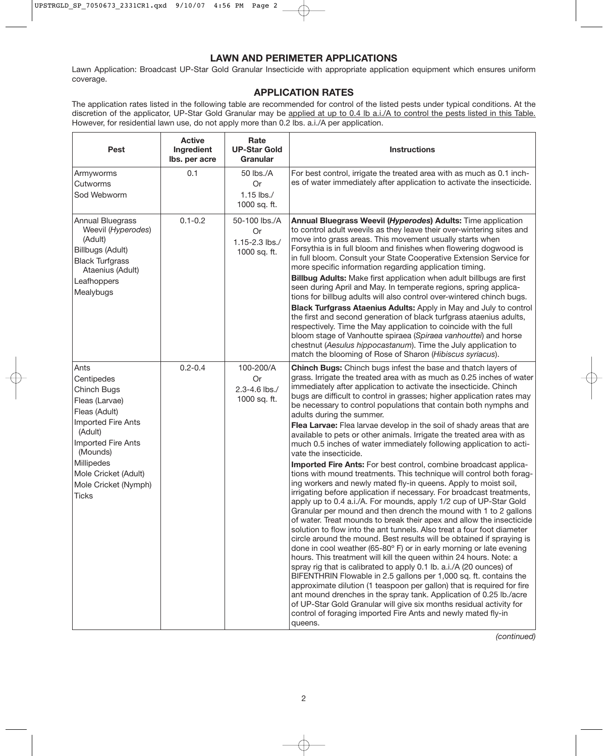#### **LAWN AND PERIMETER APPLICATIONS**

Lawn Application: Broadcast UP-Star Gold Granular Insecticide with appropriate application equipment which ensures uniform coverage.

## **APPLICATION RATES**

The application rates listed in the following table are recommended for control of the listed pests under typical conditions. At the discretion of the applicator, UP-Star Gold Granular may be applied at up to 0.4 lb a.i./A to control the pests listed in this Table. However, for residential lawn use, do not apply more than 0.2 lbs. a.i./A per application.

| Pest                                                                                                                                                                                                                  | <b>Active</b><br>Ingredient<br>Ibs. per acre | Rate<br><b>UP-Star Gold</b><br>Granular                      | <b>Instructions</b>                                                                                                                                                                                                                                                                                                                                                                                                                                                                                                                                                                                                                                                                                                                                                                                                                                                                                                                                                                                                                                                                                                                                                                                                                                                                                                                                                                                                                                                                                                                                                                                                                                                                                                                                                                                                                                                                             |
|-----------------------------------------------------------------------------------------------------------------------------------------------------------------------------------------------------------------------|----------------------------------------------|--------------------------------------------------------------|-------------------------------------------------------------------------------------------------------------------------------------------------------------------------------------------------------------------------------------------------------------------------------------------------------------------------------------------------------------------------------------------------------------------------------------------------------------------------------------------------------------------------------------------------------------------------------------------------------------------------------------------------------------------------------------------------------------------------------------------------------------------------------------------------------------------------------------------------------------------------------------------------------------------------------------------------------------------------------------------------------------------------------------------------------------------------------------------------------------------------------------------------------------------------------------------------------------------------------------------------------------------------------------------------------------------------------------------------------------------------------------------------------------------------------------------------------------------------------------------------------------------------------------------------------------------------------------------------------------------------------------------------------------------------------------------------------------------------------------------------------------------------------------------------------------------------------------------------------------------------------------------------|
| Armyworms<br>Cutworms<br>Sod Webworm                                                                                                                                                                                  | 0.1                                          | 50 lbs./A<br><b>Or</b><br>1.15 lbs./<br>1000 sq. ft.         | For best control, irrigate the treated area with as much as 0.1 inch-<br>es of water immediately after application to activate the insecticide.                                                                                                                                                                                                                                                                                                                                                                                                                                                                                                                                                                                                                                                                                                                                                                                                                                                                                                                                                                                                                                                                                                                                                                                                                                                                                                                                                                                                                                                                                                                                                                                                                                                                                                                                                 |
| <b>Annual Bluegrass</b><br>Weevil (Hyperodes)<br>(Adult)<br>Billbugs (Adult)<br><b>Black Turfgrass</b><br>Ataenius (Adult)<br>Leafhoppers<br>Mealybugs                                                                | $0.1 - 0.2$                                  | 50-100 lbs./A<br><b>Or</b><br>1.15-2.3 lbs./<br>1000 sq. ft. | Annual Bluegrass Weevil (Hyperodes) Adults: Time application<br>to control adult weevils as they leave their over-wintering sites and<br>move into grass areas. This movement usually starts when<br>Forsythia is in full bloom and finishes when flowering dogwood is<br>in full bloom. Consult your State Cooperative Extension Service for<br>more specific information regarding application timing.<br>Billbug Adults: Make first application when adult billbugs are first<br>seen during April and May. In temperate regions, spring applica-<br>tions for billbug adults will also control over-wintered chinch bugs.<br><b>Black Turfgrass Ataenius Adults:</b> Apply in May and July to control<br>the first and second generation of black turfgrass ataenius adults,<br>respectively. Time the May application to coincide with the full<br>bloom stage of Vanhoutte spiraea (Spiraea vanhouttei) and horse<br>chestnut (Aesulus hippocastanum). Time the July application to<br>match the blooming of Rose of Sharon (Hibiscus syriacus).                                                                                                                                                                                                                                                                                                                                                                                                                                                                                                                                                                                                                                                                                                                                                                                                                                          |
| Ants<br>Centipedes<br>Chinch Bugs<br>Fleas (Larvae)<br>Fleas (Adult)<br>Imported Fire Ants<br>(Adult)<br>Imported Fire Ants<br>(Mounds)<br>Millipedes<br>Mole Cricket (Adult)<br>Mole Cricket (Nymph)<br><b>Ticks</b> | $0.2 - 0.4$                                  | 100-200/A<br>Or<br>2.3-4.6 lbs./<br>1000 sq. ft.             | Chinch Bugs: Chinch bugs infest the base and thatch layers of<br>grass. Irrigate the treated area with as much as 0.25 inches of water<br>immediately after application to activate the insecticide. Chinch<br>bugs are difficult to control in grasses; higher application rates may<br>be necessary to control populations that contain both nymphs and<br>adults during the summer.<br>Flea Larvae: Flea larvae develop in the soil of shady areas that are<br>available to pets or other animals. Irrigate the treated area with as<br>much 0.5 inches of water immediately following application to acti-<br>vate the insecticide.<br>Imported Fire Ants: For best control, combine broadcast applica-<br>tions with mound treatments. This technique will control both forag-<br>ing workers and newly mated fly-in queens. Apply to moist soil,<br>irrigating before application if necessary. For broadcast treatments,<br>apply up to 0.4 a.i./A. For mounds, apply 1/2 cup of UP-Star Gold<br>Granular per mound and then drench the mound with 1 to 2 gallons<br>of water. Treat mounds to break their apex and allow the insecticide<br>solution to flow into the ant tunnels. Also treat a four foot diameter<br>circle around the mound. Best results will be obtained if spraying is<br>done in cool weather (65-80° F) or in early morning or late evening<br>hours. This treatment will kill the queen within 24 hours. Note: a<br>spray rig that is calibrated to apply 0.1 lb. a.i./A (20 ounces) of<br>BIFENTHRIN Flowable in 2.5 gallons per 1,000 sq. ft. contains the<br>approximate dilution (1 teaspoon per gallon) that is required for fire<br>ant mound drenches in the spray tank. Application of 0.25 lb./acre<br>of UP-Star Gold Granular will give six months residual activity for<br>control of foraging imported Fire Ants and newly mated fly-in<br>queens. |

*(continued)*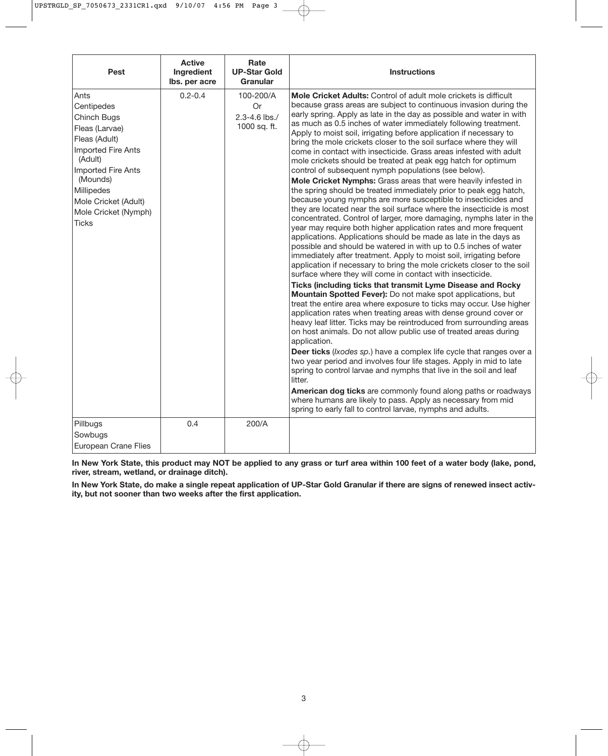| Pest                                                                                                                                                                                                                  | <b>Active</b><br>Ingredient<br>lbs. per acre | Rate<br><b>UP-Star Gold</b><br><b>Granular</b>          | <b>Instructions</b>                                                                                                                                                                                                                                                                                                                                                                                                                                                                                                                                                                                                                                                                                                                                                                                                                                                                                                                                                                                                                                                                                                                                                                                                                                                                                                                                                                                                                                                                                                                                                                                                                                                                                                                                                                                                                                                                                                                                                                                                                                                                                                                                                                                                                                                                   |
|-----------------------------------------------------------------------------------------------------------------------------------------------------------------------------------------------------------------------|----------------------------------------------|---------------------------------------------------------|---------------------------------------------------------------------------------------------------------------------------------------------------------------------------------------------------------------------------------------------------------------------------------------------------------------------------------------------------------------------------------------------------------------------------------------------------------------------------------------------------------------------------------------------------------------------------------------------------------------------------------------------------------------------------------------------------------------------------------------------------------------------------------------------------------------------------------------------------------------------------------------------------------------------------------------------------------------------------------------------------------------------------------------------------------------------------------------------------------------------------------------------------------------------------------------------------------------------------------------------------------------------------------------------------------------------------------------------------------------------------------------------------------------------------------------------------------------------------------------------------------------------------------------------------------------------------------------------------------------------------------------------------------------------------------------------------------------------------------------------------------------------------------------------------------------------------------------------------------------------------------------------------------------------------------------------------------------------------------------------------------------------------------------------------------------------------------------------------------------------------------------------------------------------------------------------------------------------------------------------------------------------------------------|
| Ants<br>Centipedes<br>Chinch Bugs<br>Fleas (Larvae)<br>Fleas (Adult)<br>Imported Fire Ants<br>(Adult)<br>Imported Fire Ants<br>(Mounds)<br>Millipedes<br>Mole Cricket (Adult)<br>Mole Cricket (Nymph)<br><b>Ticks</b> | $0.2 - 0.4$                                  | 100-200/A<br><b>Or</b><br>2.3-4.6 lbs./<br>1000 sq. ft. | <b>Mole Cricket Adults:</b> Control of adult mole crickets is difficult<br>because grass areas are subject to continuous invasion during the<br>early spring. Apply as late in the day as possible and water in with<br>as much as 0.5 inches of water immediately following treatment.<br>Apply to moist soil, irrigating before application if necessary to<br>bring the mole crickets closer to the soil surface where they will<br>come in contact with insecticide. Grass areas infested with adult<br>mole crickets should be treated at peak egg hatch for optimum<br>control of subsequent nymph populations (see below).<br>Mole Cricket Nymphs: Grass areas that were heavily infested in<br>the spring should be treated immediately prior to peak egg hatch,<br>because young nymphs are more susceptible to insecticides and<br>they are located near the soil surface where the insecticide is most<br>concentrated. Control of larger, more damaging, nymphs later in the<br>year may require both higher application rates and more frequent<br>applications. Applications should be made as late in the days as<br>possible and should be watered in with up to 0.5 inches of water<br>immediately after treatment. Apply to moist soil, irrigating before<br>application if necessary to bring the mole crickets closer to the soil<br>surface where they will come in contact with insecticide.<br>Ticks (including ticks that transmit Lyme Disease and Rocky<br>Mountain Spotted Fever): Do not make spot applications, but<br>treat the entire area where exposure to ticks may occur. Use higher<br>application rates when treating areas with dense ground cover or<br>heavy leaf litter. Ticks may be reintroduced from surrounding areas<br>on host animals. Do not allow public use of treated areas during<br>application.<br>Deer ticks (Ixodes sp.) have a complex life cycle that ranges over a<br>two year period and involves four life stages. Apply in mid to late<br>spring to control larvae and nymphs that live in the soil and leaf<br>litter.<br>American dog ticks are commonly found along paths or roadways<br>where humans are likely to pass. Apply as necessary from mid<br>spring to early fall to control larvae, nymphs and adults. |
| Pillbugs<br>Sowbugs<br><b>European Crane Flies</b>                                                                                                                                                                    | 0.4                                          | 200/A                                                   |                                                                                                                                                                                                                                                                                                                                                                                                                                                                                                                                                                                                                                                                                                                                                                                                                                                                                                                                                                                                                                                                                                                                                                                                                                                                                                                                                                                                                                                                                                                                                                                                                                                                                                                                                                                                                                                                                                                                                                                                                                                                                                                                                                                                                                                                                       |

**In New York State, this product may NOT be applied to any grass or turf area within 100 feet of a water body (lake, pond, river, stream, wetland, or drainage ditch).**

**In New York State, do make a single repeat application of UP-Star Gold Granular if there are signs of renewed insect activity, but not sooner than two weeks after the first application.**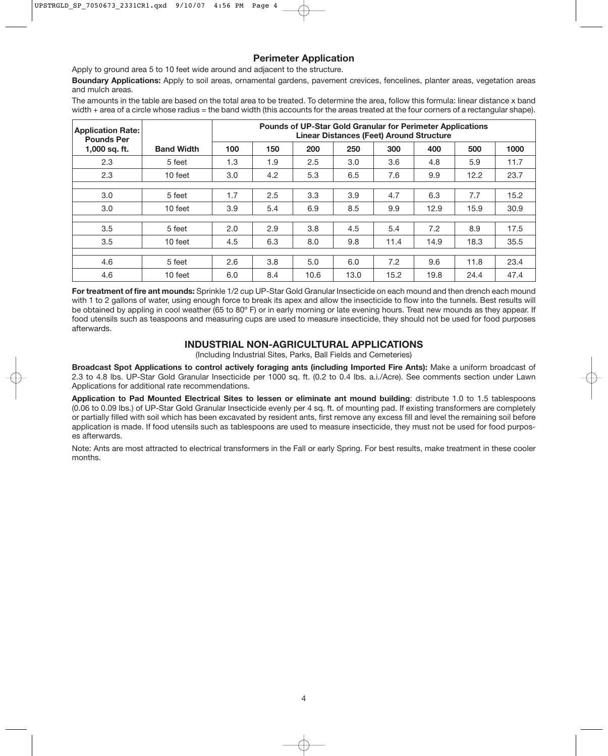#### **Perimeter Application**

Apply to ground area 5 to 10 feet wide around and adjacent to the structure.

**Boundary Applications:** Apply to soil areas, ornamental gardens, pavement crevices, fencelines, planter areas, vegetation areas and mulch areas.

The amounts in the table are based on the total area to be treated. To determine the area, follow this formula: linear distance x band width + area of a circle whose radius = the band width (this accounts for the areas treated at the four corners of a rectangular shape).

| <b>Application Rate:</b><br><b>Pounds Per</b> |                   | <b>Pounds of UP-Star Gold Granular for Perimeter Applications</b><br><b>Linear Distances (Feet) Around Structure</b> |     |      |      |      |      |      |      |
|-----------------------------------------------|-------------------|----------------------------------------------------------------------------------------------------------------------|-----|------|------|------|------|------|------|
| 1,000 sq. ft.                                 | <b>Band Width</b> | 100                                                                                                                  | 150 | 200  | 250  | 300  | 400  | 500  | 1000 |
| 2.3                                           | 5 feet            | 1.3                                                                                                                  | 1.9 | 2.5  | 3.0  | 3.6  | 4.8  | 5.9  | 11.7 |
| 2.3                                           | 10 feet           | 3.0                                                                                                                  | 4.2 | 5.3  | 6.5  | 7.6  | 9.9  | 12.2 | 23.7 |
|                                               |                   |                                                                                                                      |     |      |      |      |      |      |      |
| 3.0                                           | 5 feet            | 1.7                                                                                                                  | 2.5 | 3.3  | 3.9  | 4.7  | 6.3  | 7.7  | 15.2 |
| 3.0                                           | 10 feet           | 3.9                                                                                                                  | 5.4 | 6.9  | 8.5  | 9.9  | 12.9 | 15.9 | 30.9 |
|                                               |                   |                                                                                                                      |     |      |      |      |      |      |      |
| 3.5                                           | 5 feet            | 2.0                                                                                                                  | 2.9 | 3.8  | 4.5  | 5.4  | 7.2  | 8.9  | 17.5 |
| 3.5                                           | 10 feet           | 4.5                                                                                                                  | 6.3 | 8.0  | 9.8  | 11.4 | 14.9 | 18.3 | 35.5 |
|                                               |                   |                                                                                                                      |     |      |      |      |      |      |      |
| 4.6                                           | 5 feet            | 2.6                                                                                                                  | 3.8 | 5.0  | 6.0  | 7.2  | 9.6  | 11.8 | 23.4 |
| 4.6                                           | 10 feet           | 6.0                                                                                                                  | 8.4 | 10.6 | 13.0 | 15.2 | 19.8 | 24.4 | 47.4 |

**For treatment of fire ant mounds:** Sprinkle 1/2 cup UP-Star Gold Granular Insecticide on each mound and then drench each mound with 1 to 2 gallons of water, using enough force to break its apex and allow the insecticide to flow into the tunnels. Best results will be obtained by appling in cool weather (65 to 80°F) or in early morning or late evening hours. Treat new mounds as they appear. If food utensils such as teaspoons and measuring cups are used to measure insecticide, they should not be used for food purposes afterwards.

#### **INDUSTRIAL NON-AGRICULTURAL APPLICATIONS**

(Including Industrial Sites, Parks, Ball Fields and Cemeteries)

**Broadcast Spot Applications to control actively foraging ants (including Imported Fire Ants):** Make a uniform broadcast of 2.3 to 4.8 lbs. UP-Star Gold Granular Insecticide per 1000 sq. ft. (0.2 to 0.4 lbs. a.i./Acre). See comments section under Lawn Applications for additional rate recommendations.

**Application to Pad Mounted Electrical Sites to lessen or eliminate ant mound building**: distribute 1.0 to 1.5 tablespoons (0.06 to 0.09 lbs.) of UP-Star Gold Granular Insecticide evenly per 4 sq. ft. of mounting pad. If existing transformers are completely or partially filled with soil which has been excavated by resident ants, first remove any excess fill and level the remaining soil before application is made. If food utensils such as tablespoons are used to measure insecticide, they must not be used for food purposes afterwards.

Note: Ants are most attracted to electrical transformers in the Fall or early Spring. For best results, make treatment in these cooler months.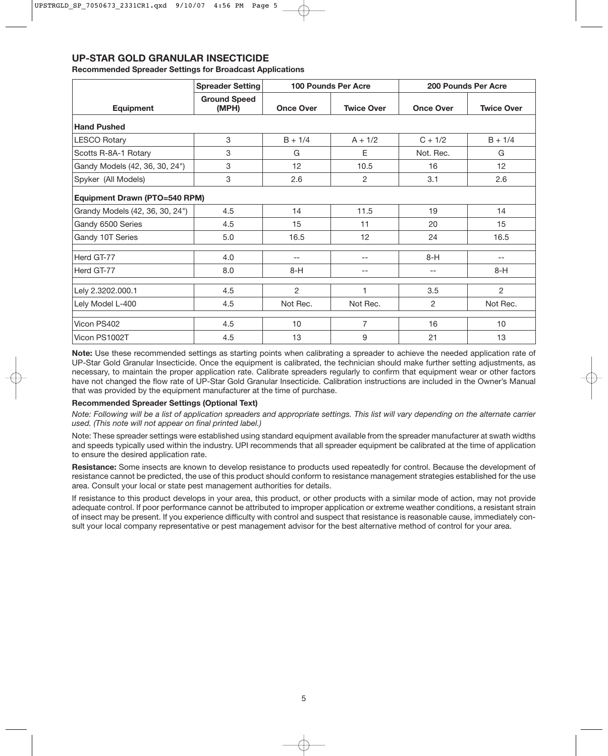## **UP-STAR GOLD GRANULAR INSECTICIDE**

#### **Recommended Spreader Settings for Broadcast Applications**

|                                      | <b>Spreader Setting</b>      | <b>100 Pounds Per Acre</b> |                   | 200 Pounds Per Acre |                   |  |  |  |  |
|--------------------------------------|------------------------------|----------------------------|-------------------|---------------------|-------------------|--|--|--|--|
| <b>Equipment</b>                     | <b>Ground Speed</b><br>(MPH) | <b>Once Over</b>           | <b>Twice Over</b> | <b>Once Over</b>    | <b>Twice Over</b> |  |  |  |  |
| <b>Hand Pushed</b>                   |                              |                            |                   |                     |                   |  |  |  |  |
| <b>LESCO Rotary</b>                  | 3                            | $B + 1/4$                  | $A + 1/2$         | $C + 1/2$           | $B + 1/4$         |  |  |  |  |
| Scotts R-8A-1 Rotary                 | 3                            | G                          | E                 | Not. Rec.           | G                 |  |  |  |  |
| Gandy Models (42, 36, 30, 24")       | 3                            | 12                         | 10.5              | 16                  | 12 <sup>2</sup>   |  |  |  |  |
| Spyker (All Models)                  | 3                            | 2.6                        | $\overline{c}$    | 3.1                 | 2.6               |  |  |  |  |
| <b>Equipment Drawn (PTO=540 RPM)</b> |                              |                            |                   |                     |                   |  |  |  |  |
| Grandy Models (42, 36, 30, 24")      | 4.5                          | 14                         | 11.5              | 19                  | 14                |  |  |  |  |
| Gandy 6500 Series                    | 4.5                          | 15                         | 11                | 20                  | 15                |  |  |  |  |
| Gandy 10T Series                     | 5.0                          | 16.5                       | 12                | 24                  | 16.5              |  |  |  |  |
| Herd GT-77                           | 4.0                          | --                         | --                | $8-H$               | --                |  |  |  |  |
| Herd GT-77                           | 8.0                          | $8-H$                      | --                | $\qquad \qquad -$   | $8-H$             |  |  |  |  |
| Lely 2.3202.000.1                    | 4.5                          | 2                          | 1                 | 3.5                 | $\overline{2}$    |  |  |  |  |
| Lely Model L-400                     | 4.5                          | Not Rec.                   | Not Rec.          | 2                   | Not Rec.          |  |  |  |  |
| Vicon PS402                          | 4.5                          | 10                         | 7                 | 16                  | 10                |  |  |  |  |
| Vicon PS1002T                        | 4.5                          | 13                         | 9                 | 21                  | 13                |  |  |  |  |

**Note:** Use these recommended settings as starting points when calibrating a spreader to achieve the needed application rate of UP-Star Gold Granular Insecticide. Once the equipment is calibrated, the technician should make further setting adjustments, as necessary, to maintain the proper application rate. Calibrate spreaders regularly to confirm that equipment wear or other factors have not changed the flow rate of UP-Star Gold Granular Insecticide. Calibration instructions are included in the Owner's Manual that was provided by the equipment manufacturer at the time of purchase.

#### **Recommended Spreader Settings (Optional Text)**

*Note: Following will be a list of application spreaders and appropriate settings. This list will vary depending on the alternate carrier used. (This note will not appear on final printed label.)*

Note: These spreader settings were established using standard equipment available from the spreader manufacturer at swath widths and speeds typically used within the industry. UPI recommends that all spreader equipment be calibrated at the time of application to ensure the desired application rate.

**Resistance:** Some insects are known to develop resistance to products used repeatedly for control. Because the development of resistance cannot be predicted, the use of this product should conform to resistance management strategies established for the use area. Consult your local or state pest management authorities for details.

If resistance to this product develops in your area, this product, or other products with a similar mode of action, may not provide adequate control. If poor performance cannot be attributed to improper application or extreme weather conditions, a resistant strain of insect may be present. If you experience difficulty with control and suspect that resistance is reasonable cause, immediately consult your local company representative or pest management advisor for the best alternative method of control for your area.